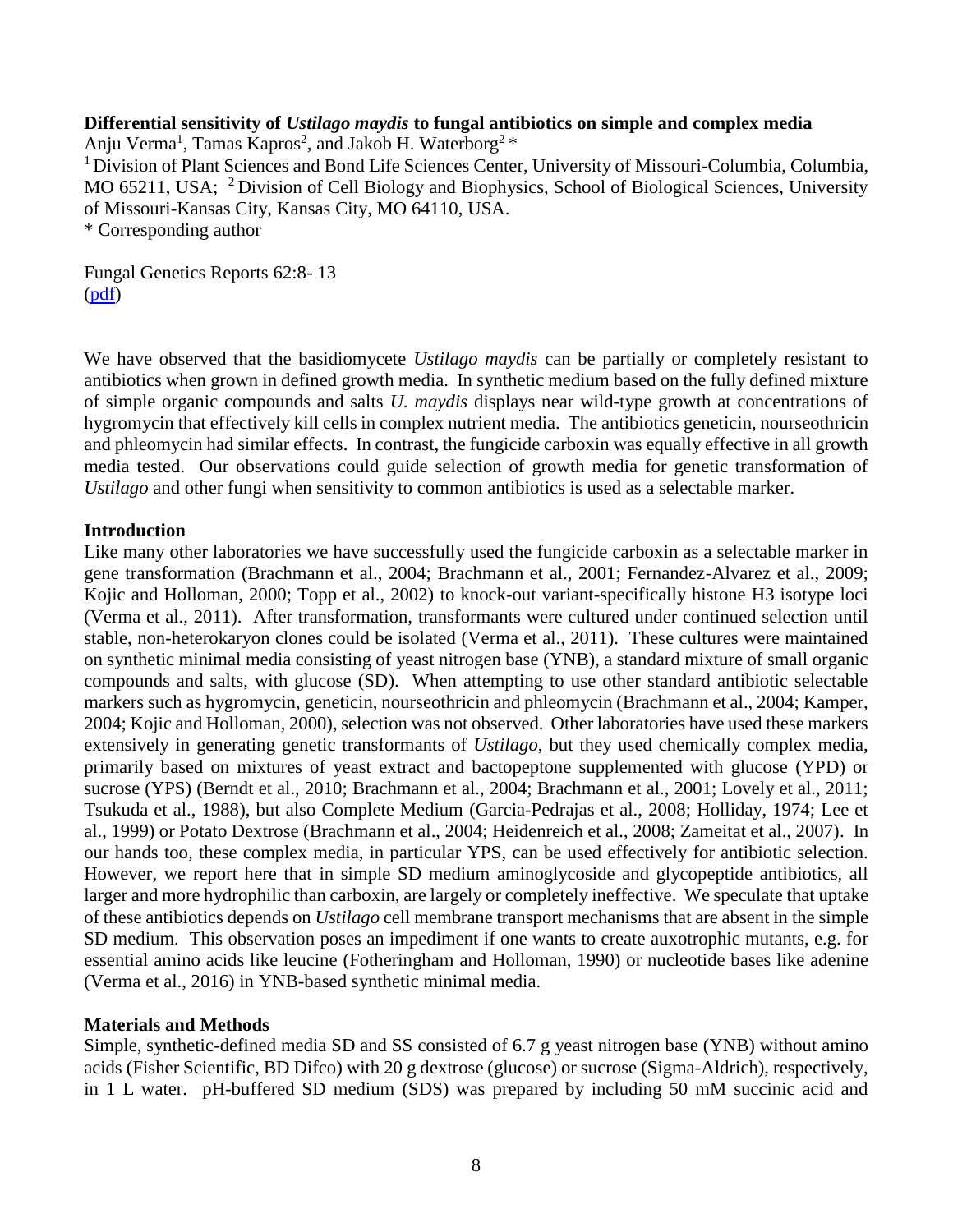# **Differential sensitivity of** *Ustilago maydis* **to fungal antibiotics on simple and complex media**

Anju Verma<sup>1</sup>, Tamas Kapros<sup>2</sup>, and Jakob H. Waterborg<sup>2</sup> \*

<sup>1</sup> Division of Plant Sciences and Bond Life Sciences Center, University of Missouri-Columbia, Columbia, MO 65211, USA; <sup>2</sup> Division of Cell Biology and Biophysics, School of Biological Sciences, University of Missouri-Kansas City, Kansas City, MO 64110, USA.

\* Corresponding author

Fungal Genetics Reports 62:8- 13 [\(pdf\)](FGR62_verma.pdf)

We have observed that the basidiomycete *Ustilago maydis* can be partially or completely resistant to antibiotics when grown in defined growth media. In synthetic medium based on the fully defined mixture of simple organic compounds and salts *U. maydis* displays near wild-type growth at concentrations of hygromycin that effectively kill cells in complex nutrient media. The antibiotics geneticin, nourseothricin and phleomycin had similar effects. In contrast, the fungicide carboxin was equally effective in all growth media tested. Our observations could guide selection of growth media for genetic transformation of *Ustilago* and other fungi when sensitivity to common antibiotics is used as a selectable marker.

# **Introduction**

Like many other laboratories we have successfully used the fungicide carboxin as a selectable marker in gene transformation (Brachmann et al., 2004; Brachmann et al., 2001; Fernandez-Alvarez et al., 2009; Kojic and Holloman, 2000; Topp et al., 2002) to knock-out variant-specifically histone H3 isotype loci (Verma et al., 2011). After transformation, transformants were cultured under continued selection until stable, non-heterokaryon clones could be isolated (Verma et al., 2011). These cultures were maintained on synthetic minimal media consisting of yeast nitrogen base (YNB), a standard mixture of small organic compounds and salts, with glucose (SD). When attempting to use other standard antibiotic selectable markers such as hygromycin, geneticin, nourseothricin and phleomycin (Brachmann et al., 2004; Kamper, 2004; Kojic and Holloman, 2000), selection was not observed. Other laboratories have used these markers extensively in generating genetic transformants of *Ustilago*, but they used chemically complex media, primarily based on mixtures of yeast extract and bactopeptone supplemented with glucose (YPD) or sucrose (YPS) (Berndt et al., 2010; Brachmann et al., 2004; Brachmann et al., 2001; Lovely et al., 2011; Tsukuda et al., 1988), but also Complete Medium (Garcia-Pedrajas et al., 2008; Holliday, 1974; Lee et al., 1999) or Potato Dextrose (Brachmann et al., 2004; Heidenreich et al., 2008; Zameitat et al., 2007). In our hands too, these complex media, in particular YPS, can be used effectively for antibiotic selection. However, we report here that in simple SD medium aminoglycoside and glycopeptide antibiotics, all larger and more hydrophilic than carboxin, are largely or completely ineffective. We speculate that uptake of these antibiotics depends on *Ustilago* cell membrane transport mechanisms that are absent in the simple SD medium. This observation poses an impediment if one wants to create auxotrophic mutants, e.g. for essential amino acids like leucine (Fotheringham and Holloman, 1990) or nucleotide bases like adenine (Verma et al., 2016) in YNB-based synthetic minimal media.

# **Materials and Methods**

Simple, synthetic-defined media SD and SS consisted of 6.7 g yeast nitrogen base (YNB) without amino acids (Fisher Scientific, BD Difco) with 20 g dextrose (glucose) or sucrose (Sigma-Aldrich), respectively, in 1 L water. pH-buffered SD medium (SDS) was prepared by including 50 mM succinic acid and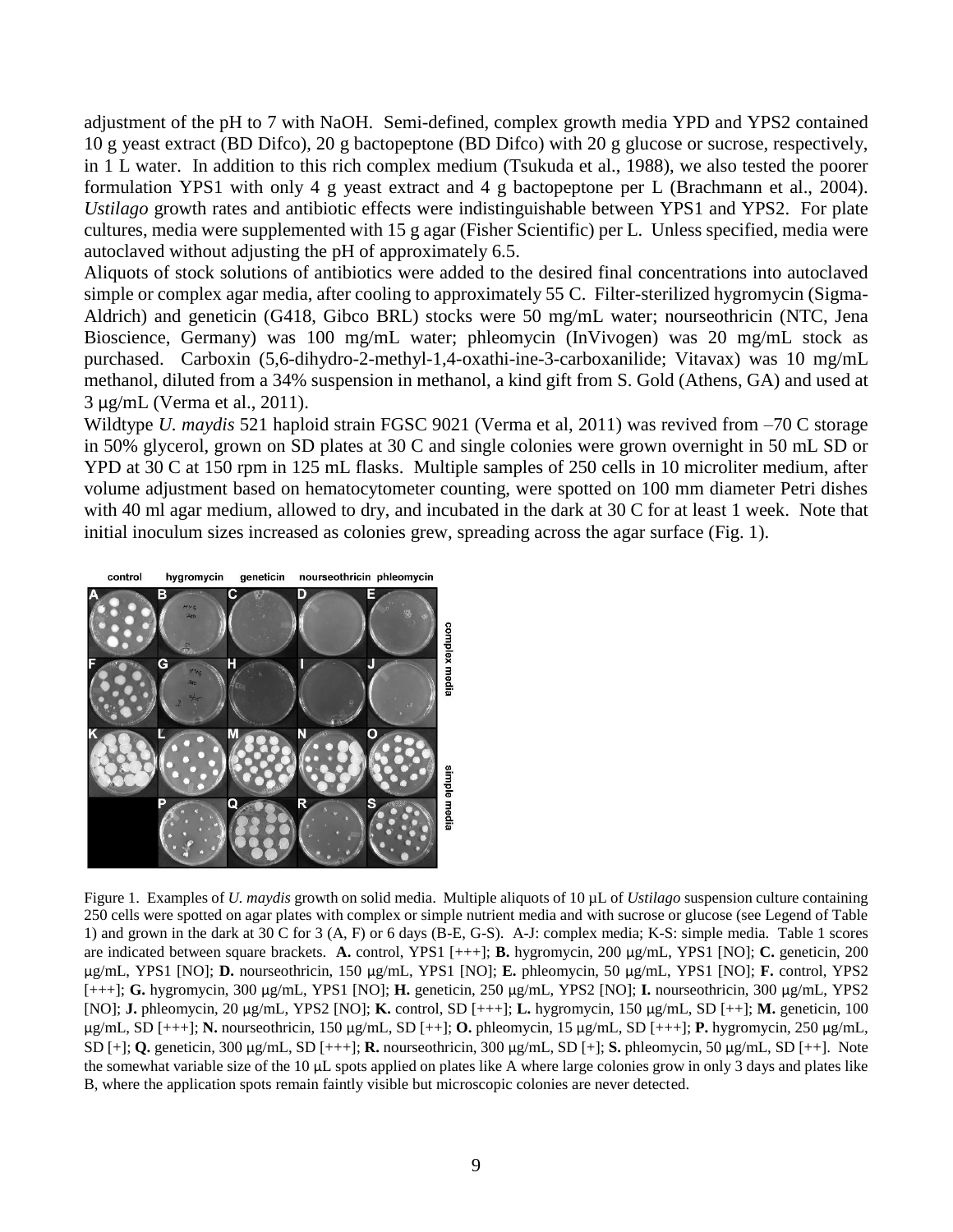adjustment of the pH to 7 with NaOH. Semi-defined, complex growth media YPD and YPS2 contained 10 g yeast extract (BD Difco), 20 g bactopeptone (BD Difco) with 20 g glucose or sucrose, respectively, in 1 L water. In addition to this rich complex medium (Tsukuda et al., 1988), we also tested the poorer formulation YPS1 with only 4 g yeast extract and 4 g bactopeptone per L (Brachmann et al., 2004). *Ustilago* growth rates and antibiotic effects were indistinguishable between YPS1 and YPS2. For plate cultures, media were supplemented with 15 g agar (Fisher Scientific) per L. Unless specified, media were autoclaved without adjusting the pH of approximately 6.5.

Aliquots of stock solutions of antibiotics were added to the desired final concentrations into autoclaved simple or complex agar media, after cooling to approximately 55 C. Filter-sterilized hygromycin (Sigma-Aldrich) and geneticin (G418, Gibco BRL) stocks were 50 mg/mL water; nourseothricin (NTC, Jena Bioscience, Germany) was 100 mg/mL water; phleomycin (InVivogen) was 20 mg/mL stock as purchased. Carboxin (5,6-dihydro-2-methyl-1,4-oxathi-ine-3-carboxanilide; Vitavax) was 10 mg/mL methanol, diluted from a 34% suspension in methanol, a kind gift from S. Gold (Athens, GA) and used at 3 μg/mL (Verma et al., 2011).

Wildtype *U. maydis* 521 haploid strain FGSC 9021 (Verma et al, 2011) was revived from –70 C storage in 50% glycerol, grown on SD plates at 30 C and single colonies were grown overnight in 50 mL SD or YPD at 30 C at 150 rpm in 125 mL flasks. Multiple samples of 250 cells in 10 microliter medium, after volume adjustment based on hematocytometer counting, were spotted on 100 mm diameter Petri dishes with 40 ml agar medium, allowed to dry, and incubated in the dark at 30 C for at least 1 week. Note that initial inoculum sizes increased as colonies grew, spreading across the agar surface (Fig. 1).



Figure 1. Examples of *U. maydis* growth on solid media. Multiple aliquots of 10 µL of *Ustilago* suspension culture containing 250 cells were spotted on agar plates with complex or simple nutrient media and with sucrose or glucose (see Legend of Table 1) and grown in the dark at 30 C for 3 (A, F) or 6 days (B-E, G-S). A-J: complex media; K-S: simple media. Table 1 scores are indicated between square brackets. **A.** control, YPS1 [+++]; **B.** hygromycin, 200 μg/mL, YPS1 [NO]; **C.** geneticin, 200 μg/mL, YPS1 [NO]; **D.** nourseothricin, 150 μg/mL, YPS1 [NO]; **E.** phleomycin, 50 μg/mL, YPS1 [NO]; **F.** control, YPS2 [+++]; **G.** hygromycin, 300 μg/mL, YPS1 [NO]; **H.** geneticin, 250 μg/mL, YPS2 [NO]; **I.** nourseothricin, 300 μg/mL, YPS2 [NO]; **J.** phleomycin, 20 μg/mL, YPS2 [NO]; **K.** control, SD [+++]; **L.** hygromycin, 150 μg/mL, SD [++]; **M.** geneticin, 100 μg/mL, SD [+++]; **N.** nourseothricin, 150 μg/mL, SD [++]; **O.** phleomycin, 15 μg/mL, SD [+++]; **P.** hygromycin, 250 μg/mL, SD [+]; **Q.** geneticin, 300 μg/mL, SD [+++]; **R.** nourseothricin, 300 μg/mL, SD [+]; **S.** phleomycin, 50 μg/mL, SD [++]. Note the somewhat variable size of the 10 μL spots applied on plates like A where large colonies grow in only 3 days and plates like B, where the application spots remain faintly visible but microscopic colonies are never detected.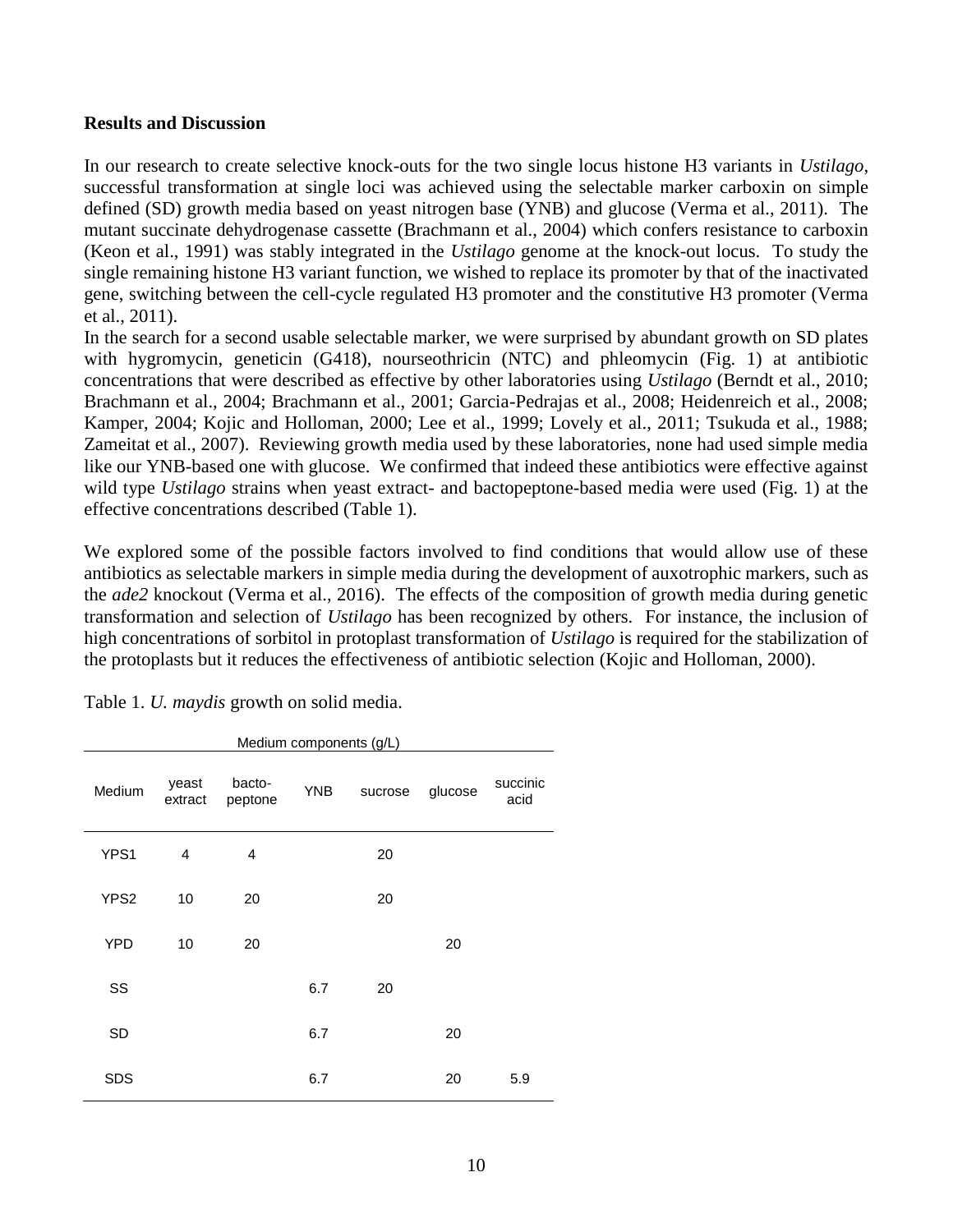### **Results and Discussion**

In our research to create selective knock-outs for the two single locus histone H3 variants in *Ustilago*, successful transformation at single loci was achieved using the selectable marker carboxin on simple defined (SD) growth media based on yeast nitrogen base (YNB) and glucose (Verma et al., 2011). The mutant succinate dehydrogenase cassette (Brachmann et al., 2004) which confers resistance to carboxin (Keon et al., 1991) was stably integrated in the *Ustilago* genome at the knock-out locus. To study the single remaining histone H3 variant function, we wished to replace its promoter by that of the inactivated gene, switching between the cell-cycle regulated H3 promoter and the constitutive H3 promoter (Verma et al., 2011).

In the search for a second usable selectable marker, we were surprised by abundant growth on SD plates with hygromycin, geneticin (G418), nourseothricin (NTC) and phleomycin (Fig. 1) at antibiotic concentrations that were described as effective by other laboratories using *Ustilago* (Berndt et al., 2010; Brachmann et al., 2004; Brachmann et al., 2001; Garcia-Pedrajas et al., 2008; Heidenreich et al., 2008; Kamper, 2004; Kojic and Holloman, 2000; Lee et al., 1999; Lovely et al., 2011; Tsukuda et al., 1988; Zameitat et al., 2007). Reviewing growth media used by these laboratories, none had used simple media like our YNB-based one with glucose. We confirmed that indeed these antibiotics were effective against wild type *Ustilago* strains when yeast extract- and bactopeptone-based media were used (Fig. 1) at the effective concentrations described (Table 1).

We explored some of the possible factors involved to find conditions that would allow use of these antibiotics as selectable markers in simple media during the development of auxotrophic markers, such as the *ade2* knockout (Verma et al., 2016). The effects of the composition of growth media during genetic transformation and selection of *Ustilago* has been recognized by others. For instance, the inclusion of high concentrations of sorbitol in protoplast transformation of *Ustilago* is required for the stabilization of the protoplasts but it reduces the effectiveness of antibiotic selection (Kojic and Holloman, 2000).

| Medium components (g/L) |                  |                   |            |         |         |                  |  |  |  |  |
|-------------------------|------------------|-------------------|------------|---------|---------|------------------|--|--|--|--|
| Medium                  | yeast<br>extract | bacto-<br>peptone | <b>YNB</b> | sucrose | glucose | succinic<br>acid |  |  |  |  |
| YPS1                    | 4                | 4                 |            | 20      |         |                  |  |  |  |  |
| YPS2                    | 10               | 20                |            | 20      |         |                  |  |  |  |  |
| <b>YPD</b>              | 10               | 20                |            |         | 20      |                  |  |  |  |  |
| SS                      |                  |                   | 6.7        | 20      |         |                  |  |  |  |  |
| <b>SD</b>               |                  |                   | 6.7        |         | 20      |                  |  |  |  |  |
| <b>SDS</b>              |                  |                   | 6.7        |         | 20      | 5.9              |  |  |  |  |

Table 1. *U. maydis* growth on solid media.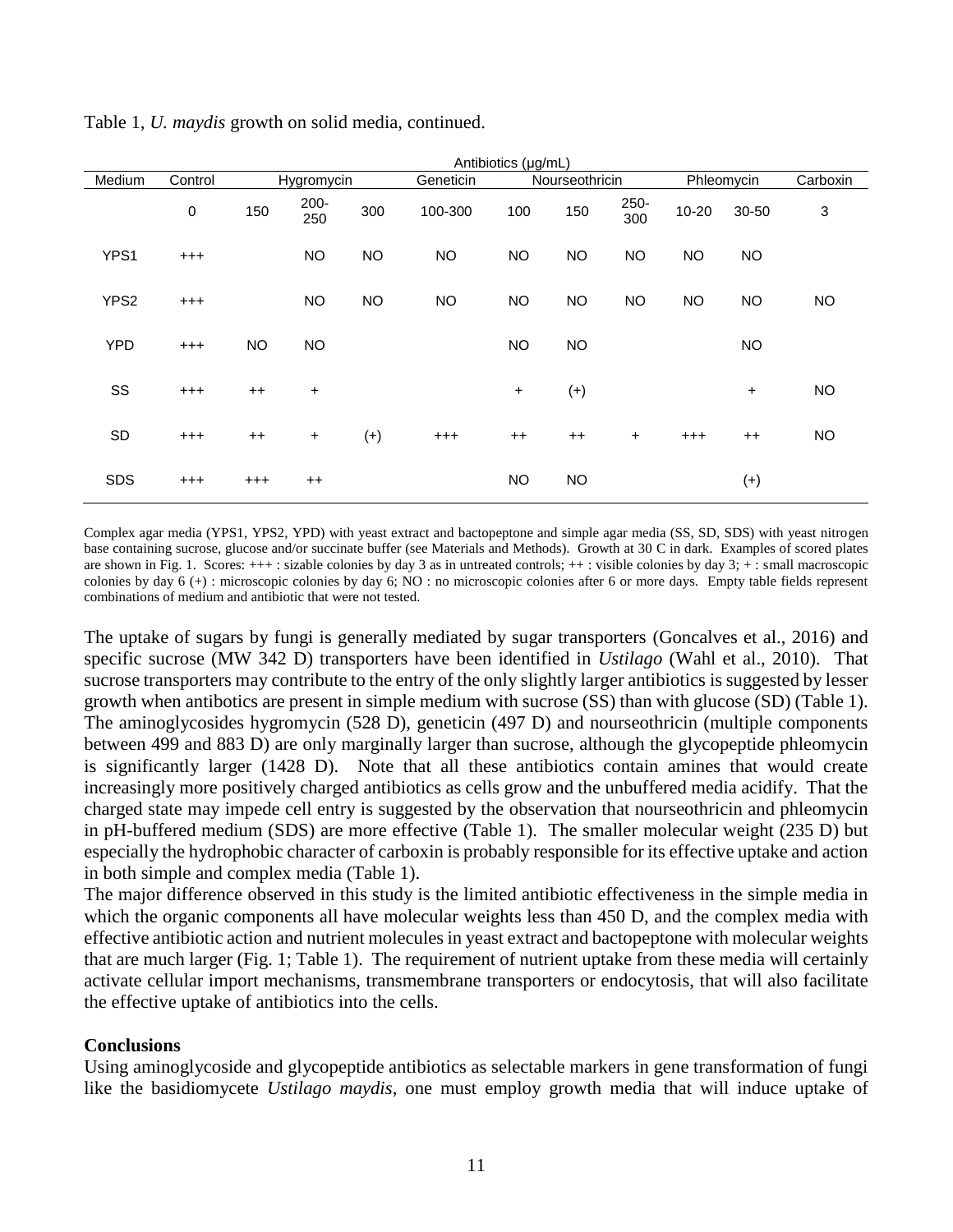|            |          | Antibiotics (µg/mL) |                |           |           |                |           |             |           |           |                           |  |  |
|------------|----------|---------------------|----------------|-----------|-----------|----------------|-----------|-------------|-----------|-----------|---------------------------|--|--|
| Medium     | Control  | Hygromycin          |                | Geneticin |           | Nourseothricin |           | Phleomycin  |           | Carboxin  |                           |  |  |
|            | 0        | 150                 | $200 -$<br>250 | 300       | 100-300   | 100            | 150       | 250-<br>300 | $10 - 20$ | 30-50     | $\ensuremath{\mathsf{3}}$ |  |  |
| YPS1       | $^{+++}$ |                     | <b>NO</b>      | <b>NO</b> | <b>NO</b> | <b>NO</b>      | <b>NO</b> | <b>NO</b>   | <b>NO</b> | <b>NO</b> |                           |  |  |
| YPS2       | $^{+++}$ |                     | <b>NO</b>      | <b>NO</b> | <b>NO</b> | <b>NO</b>      | <b>NO</b> | <b>NO</b>   | <b>NO</b> | <b>NO</b> | <b>NO</b>                 |  |  |
| <b>YPD</b> | $^{+++}$ | <b>NO</b>           | <b>NO</b>      |           |           | <b>NO</b>      | <b>NO</b> |             |           | <b>NO</b> |                           |  |  |
| SS         | $^{+++}$ | $^{++}$             | $\ddot{}$      |           |           | $\ddot{}$      | $(+)$     |             |           | +         | <b>NO</b>                 |  |  |
| SD         | $^{+++}$ | $^{++}$             | $\ddot{}$      | $(+)$     | $^{+++}$  | $^{++}$        | $^{++}$   | $\ddot{}$   | $^{+++}$  | $^{++}$   | <b>NO</b>                 |  |  |
| <b>SDS</b> | $^{+++}$ | $^{+++}$            | $^{++}$        |           |           | <b>NO</b>      | <b>NO</b> |             |           | $^{(+)}$  |                           |  |  |

Table 1, *U. maydis* growth on solid media, continued.

Complex agar media (YPS1, YPS2, YPD) with yeast extract and bactopeptone and simple agar media (SS, SD, SDS) with yeast nitrogen base containing sucrose, glucose and/or succinate buffer (see Materials and Methods). Growth at 30 C in dark. Examples of scored plates are shown in Fig. 1. Scores: +++ : sizable colonies by day 3 as in untreated controls; ++ : visible colonies by day 3; + : small macroscopic colonies by day 6 (+) : microscopic colonies by day 6; NO : no microscopic colonies after 6 or more days. Empty table fields represent combinations of medium and antibiotic that were not tested.

The uptake of sugars by fungi is generally mediated by sugar transporters (Goncalves et al., 2016) and specific sucrose (MW 342 D) transporters have been identified in *Ustilago* (Wahl et al., 2010). That sucrose transporters may contribute to the entry of the only slightly larger antibiotics is suggested by lesser growth when antibotics are present in simple medium with sucrose (SS) than with glucose (SD) (Table 1). The aminoglycosides hygromycin (528 D), geneticin (497 D) and nourseothricin (multiple components between 499 and 883 D) are only marginally larger than sucrose, although the glycopeptide phleomycin is significantly larger (1428 D). Note that all these antibiotics contain amines that would create increasingly more positively charged antibiotics as cells grow and the unbuffered media acidify. That the charged state may impede cell entry is suggested by the observation that nourseothricin and phleomycin in pH-buffered medium (SDS) are more effective (Table 1). The smaller molecular weight (235 D) but especially the hydrophobic character of carboxin is probably responsible for its effective uptake and action in both simple and complex media (Table 1).

The major difference observed in this study is the limited antibiotic effectiveness in the simple media in which the organic components all have molecular weights less than 450 D, and the complex media with effective antibiotic action and nutrient molecules in yeast extract and bactopeptone with molecular weights that are much larger (Fig. 1; Table 1). The requirement of nutrient uptake from these media will certainly activate cellular import mechanisms, transmembrane transporters or endocytosis, that will also facilitate the effective uptake of antibiotics into the cells.

# **Conclusions**

Using aminoglycoside and glycopeptide antibiotics as selectable markers in gene transformation of fungi like the basidiomycete *Ustilago maydis*, one must employ growth media that will induce uptake of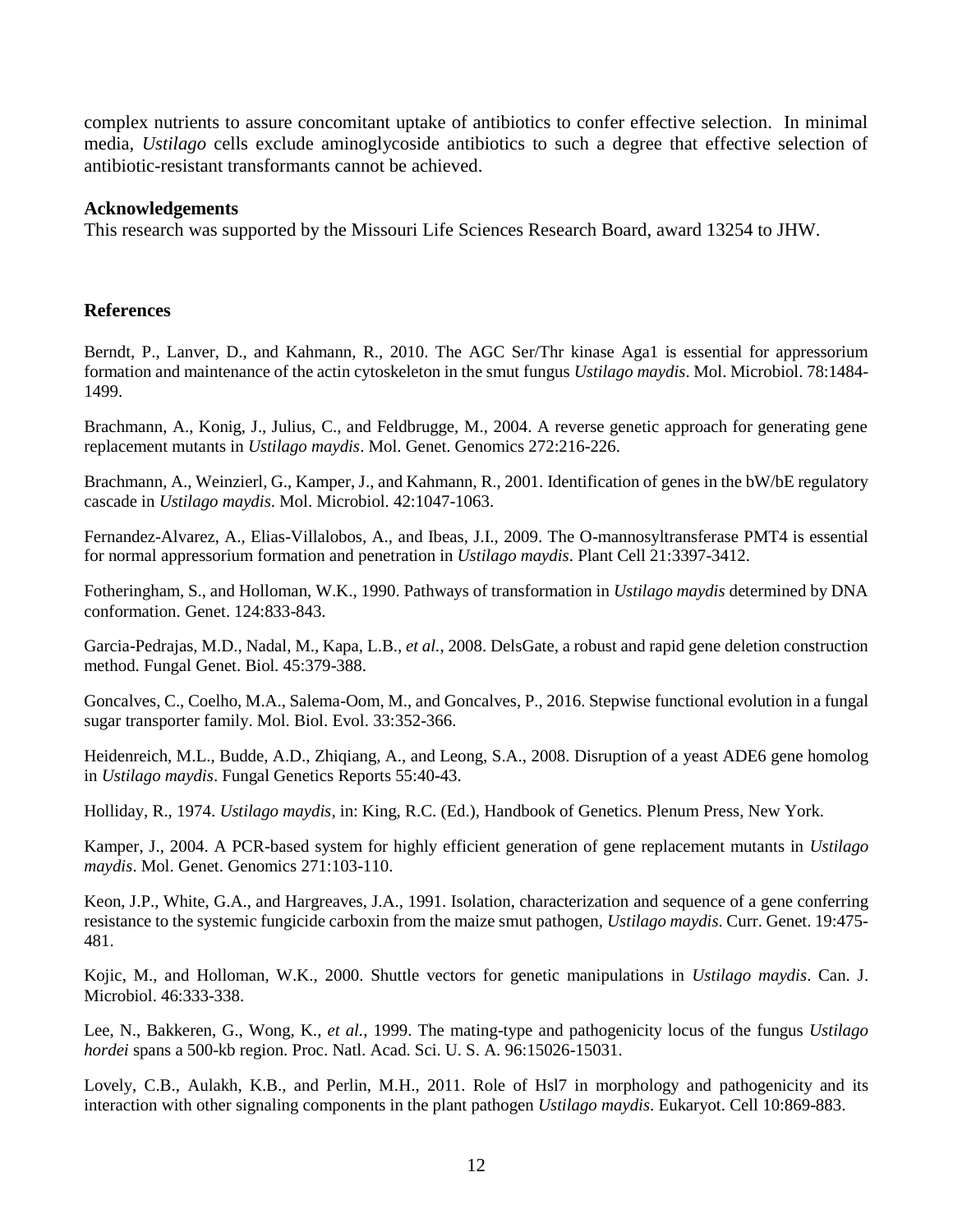complex nutrients to assure concomitant uptake of antibiotics to confer effective selection. In minimal media, *Ustilago* cells exclude aminoglycoside antibiotics to such a degree that effective selection of antibiotic-resistant transformants cannot be achieved.

#### **Acknowledgements**

This research was supported by the Missouri Life Sciences Research Board, award 13254 to JHW.

#### **References**

Berndt, P., Lanver, D., and Kahmann, R., 2010. The AGC Ser/Thr kinase Aga1 is essential for appressorium formation and maintenance of the actin cytoskeleton in the smut fungus *Ustilago maydis*. Mol. Microbiol. 78:1484- 1499.

Brachmann, A., Konig, J., Julius, C., and Feldbrugge, M., 2004. A reverse genetic approach for generating gene replacement mutants in *Ustilago maydis*. Mol. Genet. Genomics 272:216-226.

Brachmann, A., Weinzierl, G., Kamper, J., and Kahmann, R., 2001. Identification of genes in the bW/bE regulatory cascade in *Ustilago maydis*. Mol. Microbiol. 42:1047-1063.

Fernandez-Alvarez, A., Elias-Villalobos, A., and Ibeas, J.I., 2009. The O-mannosyltransferase PMT4 is essential for normal appressorium formation and penetration in *Ustilago maydis*. Plant Cell 21:3397-3412.

Fotheringham, S., and Holloman, W.K., 1990. Pathways of transformation in *Ustilago maydis* determined by DNA conformation. Genet. 124:833-843.

Garcia-Pedrajas, M.D., Nadal, M., Kapa, L.B.*, et al.*, 2008. DelsGate, a robust and rapid gene deletion construction method. Fungal Genet. Biol. 45:379-388.

Goncalves, C., Coelho, M.A., Salema-Oom, M., and Goncalves, P., 2016. Stepwise functional evolution in a fungal sugar transporter family. Mol. Biol. Evol. 33:352-366.

Heidenreich, M.L., Budde, A.D., Zhiqiang, A., and Leong, S.A., 2008. Disruption of a yeast ADE6 gene homolog in *Ustilago maydis*. Fungal Genetics Reports 55:40-43.

Holliday, R., 1974. *Ustilago maydis*, in: King, R.C. (Ed.), Handbook of Genetics. Plenum Press, New York.

Kamper, J., 2004. A PCR-based system for highly efficient generation of gene replacement mutants in *Ustilago maydis*. Mol. Genet. Genomics 271:103-110.

Keon, J.P., White, G.A., and Hargreaves, J.A., 1991. Isolation, characterization and sequence of a gene conferring resistance to the systemic fungicide carboxin from the maize smut pathogen, *Ustilago maydis*. Curr. Genet. 19:475- 481.

Kojic, M., and Holloman, W.K., 2000. Shuttle vectors for genetic manipulations in *Ustilago maydis*. Can. J. Microbiol. 46:333-338.

Lee, N., Bakkeren, G., Wong, K.*, et al.*, 1999. The mating-type and pathogenicity locus of the fungus *Ustilago hordei* spans a 500-kb region. Proc. Natl. Acad. Sci. U. S. A. 96:15026-15031.

Lovely, C.B., Aulakh, K.B., and Perlin, M.H., 2011. Role of Hsl7 in morphology and pathogenicity and its interaction with other signaling components in the plant pathogen *Ustilago maydis*. Eukaryot. Cell 10:869-883.